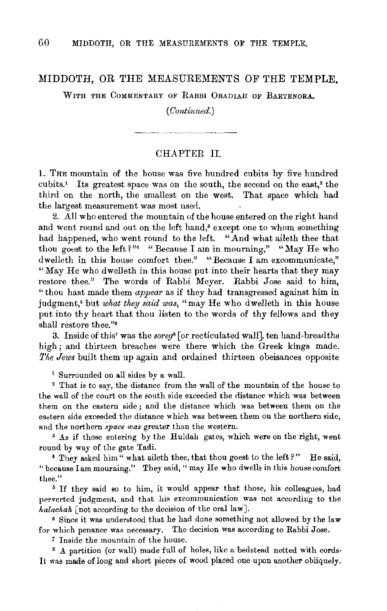## MIDDOTH, OR THE MEASUREMENTS OF THE TEMPLE.

WITH THE COMMENTARY OF RABBI OBADIAH OF BARTENORA.

## *(Continued.)*

## CHAPTER II.

l. THE mountain of the house was five hundred cubits by five hundred cubits.<sup>1</sup> Its greatest space was on the south, the second on the east,<sup>2</sup> the third on the north, the smallest on the west. That space which had the largest measurement was most used.

2. All who entered the mountain of the house entered on the right hand and went round and out on the left hand,<sup>3</sup> except one to whom something had happened, who went round to the left. "And what aileth thee that thou goest to the left?" "Because I am in mourning," "May He who dwelleth in this house comfort thee." "Because I am excommunicate," "May He who dwelleth in this house put into their hearts that they may restore thee." The words of Rabbi Meyer. Rabbi Jose said to him, "thou hast made them *appear* as if they had transgressed against him in judgment,<sup>5</sup> but *what they said was*, "may He who dwelleth in this house put into thy heart that thou listen to the words of thy fellows and they shall restore thee."•

3. Inside of this' was the *soreg8* [or recticulated wall], ten hand-breadths high; and thirteen breaches were there which the Greek kings made. *The Jews* built them up again and ordained thirteen obeisances opposite

1 Surrounded on all sides by a wall.

<sup>2</sup>That is to say, the distance from the wall of the mountain of the house to the wall of the court on the south side exceeded the distance which was between them on the eastern side; and the distance which was between them on the eastern side exceeded the distance which was between them on the northern side,

and the northern *space was* greater than the western.<br><sup>3</sup> As if those entering by the Huldah gates, which were on the right, went round by way of the gate Tadi. 4 They asked him" what aileth thee, that thou goest to the left?" He said,

"because lam mourning." They said," may He who dwells in this house comfort thee." 5 If they said so to him, it would appear that those, his colleagues, had

perverted judgment, and that his excommunication was not according to the *halachah* [not according to the decision of the oral law].

• Since it was understood that he had done something not allowed by the law for which penance was necessary. The decision was according to Rabbi Jose.

*7* Inside the mountain of the house.

s A partition (or wall) made full of holes, like a bedstead netted with cords· It was made of long and short pieces of wood placed one upon another obliquely.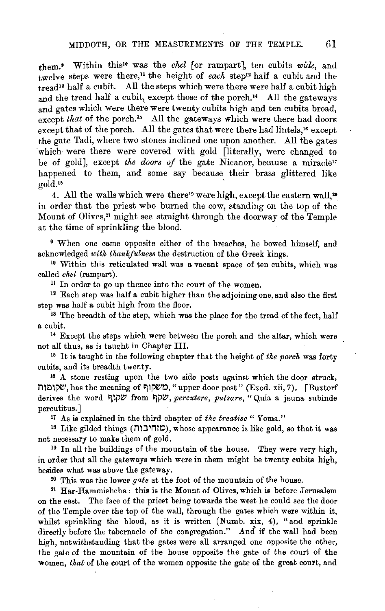them.• Within this10 was the *chel* [or rampart], ten cubits *wide,* and twelve steps were there,<sup>11</sup> the height of *each* step<sup>12</sup> half a cubit and the  $t_{\text{read}}$ <sup>13</sup> half a cubit. All the steps which were there were half a cubit high and the tread half a cubit, except those of the porch.<sup>14</sup> All the gateways and gates which were there were twenty cubits high and ten cubits broad, except *that* of the porch.<sup>15</sup> All the gateways which were there had doors except that of the porch. All the gates that were there had lintels,<sup>16</sup> except the gate Tadi, where two stones inclined one upon another. All the gates 'which were there were covered with gold [literally, were changed to be of gold], except *the doors of* the gate Nicanor, because a miracle" happened to them, and some say because their brass glittered like sold.<sup>18</sup>  $\gcd(1^{18})$ 

4. All the walls which were there<sup>19</sup> were high, except the eastern wall.<sup>20</sup> in order that the priest who burned the cow, standing on the top of the Mount of Olives,<sup>21</sup> might see straight through the doorway of the Temple at the time of sprinkling the blood.

9 When one came opposite either of the breaches, he bowed himself, and acknowledged *with thankfulness* the destruction of the Greek kings.

<sup>10</sup> Within this reticulated wall was a vacant space of ten cubits, which was called *chel* (rampart).

<sup>11</sup> In order to go up thence into the court of the women.

 $12$  Each step was half a cubit higher than the adjoining one, and also the first step was half a cubit high from the floor.

<sup>13</sup> The breadth of the step, which was the place for the tread of the feet, half a cubit.

<sup>14</sup> Except the steps which were between the porch and the altar, which were not all thus, as is taught in Chapter III.

<sup>15</sup> It is taught in the following chapter that the height of *the porch* was forty cubits, and its breadth twenty.

<sup>16</sup> A stone resting upon the two side posts against which the door struck, שקו<br/>g of putch "upper door post" (Exod. xii, 7). [Buxtorf $\,$ derives the word ~li'~ from ~i'~, *percutere, pulsare,* "Quia a jauna subinde percutitus.]<br><sup>17</sup> As is explained in the third chapter of the treatise "Yoma."

<sup>1</sup>7 .A.s is explained in the third chapter of *the treatise* " Yoma." 18 Like gilded things (nl:J nt~), whose appearance is like gold, so that it was not necessary to make them of gold.<br><sup>19</sup> In all the buildings of the mountain of the house. They were very high,

in order that all the gateways which were in them might be twenty cubits high, besides what was above the gateway.

20 This was the lower *gate* at the foot of the mountain of the house.

21 Har·Hammishcha: this is the Mount of Olives, which is before Jerusalem on the east. The face of the priest being towards the west he could see the door of the Temple over the top of the wall, through the gates which were within it, whilst sprinkling the blood, as it is written (Numb. xix, 4), "and sprinkle directly before the tabernacle of the congregation." And if the wall had been high, notwithstanding that the gates were all arranged one opposite the other, the gate of the mountain of the house opposite the gate of the court of the women, *that* of the court of the women opposite the gate of the great court, and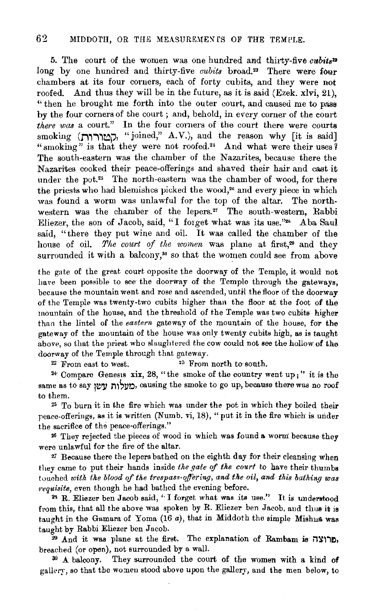5. The court of the women was one hundred and thirty-five cubits<sup>22</sup> long by one hundred and thirty-five *cubits* broad.<sup>23</sup> There were four chambers at its four corners, each of forty cubits, and they were not roofed. And thus they will be in the future, as it is said (Ezek. xlvi, 21), "then he brought me forth into the outer court, and caused me to pass by the four corners of the court ; and, behold, in every corner of the court *there was* a court." In the four corners of the court there were courts smoking (MITTING), "joined," A.V.), and the reason why [it is said] "smoking" is that they were not roofed.<sup>21</sup> And what were their uses  $\hat{i}$ The south-eastern was the chamber of the Nazarites, because there the Nazarites cooked their peace-offerings and shaved their hair and cast it under the pot.<sup>25</sup> The north-eastern was the chamber of wood, for there the priests who had blemishes picked the wood,<sup>26</sup> and every piece in which was found a worm was unlawful for the top of the altar. The northwestern was the chamber of the lepers.<sup>27</sup> The south-western, Rabbi Eliezer, the son of Jacob, said, "I forget what was its use."<sup>28</sup> Aba Saul said, "there they put wine and oil. It was called the chamber of the house of oil. The court of the women was plane at first,<sup>29</sup> and they surrounded it with a balcony,<sup>30</sup> so that the women could see from above

the gate of the great court opposite the doorway of the Temple, it would not have been possible to see the doorway of the Temple through the gateways, because the mountain went and rose and ascended, until the floor of the doorway of the Temple was twenty-two cubits higher than the floor at the foot of the mountain of the house, and the threshold of the Temple was two cubits higher than the lintel of the *eastern* gateway of the mountain of the house, for the gateway of the mountain of the house was only twenty cubits high, as is taught above, so that the priest who slaughtered the cow could not see the hollow of the doorway of the Temple through that gateway.

 $22$  From east to west.  $23$  From north to south.

24· Compare Genesis xix, 28, "the smoke of the country went up;" it is the same as to say מעלות עשו causing the smoke to go up, because there was no roof to them.

2s To burn it in the fire which was under the pot in which they boiled their peace-offerings, as it is written (Numb. vi, 18), "put it in the fire which is under the sacrifice of the peace-offerings\_"

26 They rejected the pieces of wood in which was found a worm: because they were unlawful for the fire of the altar.

*•7* Because there the lepers bathed on the eighth day for their cleansing when they came to put their hands inside *tke gate* qf *tke court* to have their thumbs touched with the blood of the trespass-offering, and the oil, and this bathing was *1·equisite,* even though he had bathed the evening before.

<sup>23</sup> R. Eliezer ben Jacob said, "I forget what was its use." It is understood from this, that all the above was spoken by R. Eliezer ben Jacob, and thus it is taught in the Gamara of Yoma (16 *a*), that in Middoth the simple Mishua was taught by Rabbi Eliezer ben Jacob.

 $29$  And it was plane at the first. The explanation of Rambam is  $721$ , breached (or open), not surrounded by a wall.

<sup>30</sup> A balcony. They surrounded the court of the women with a kind of gallery, so that the women stood above upon the gallery, and the men below, to